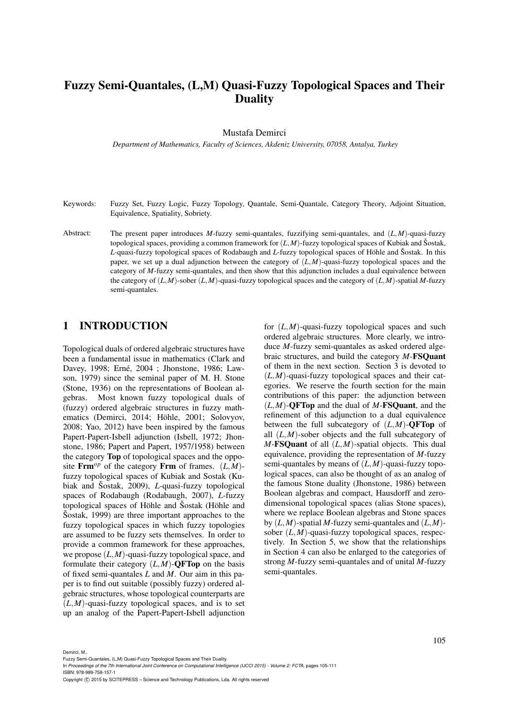# Fuzzy Semi-Quantales, (L,M) Quasi-Fuzzy Topological Spaces and Their **Duality**

#### Mustafa Demirci

*Department of Mathematics, Faculty of Sciences, Akdeniz University, 07058, Antalya, Turkey*

- Keywords: Fuzzy Set, Fuzzy Logic, Fuzzy Topology, Quantale, Semi-Quantale, Category Theory, Adjoint Situation, Equivalence, Spatiality, Sobriety.
- Abstract: The present paper introduces *M*-fuzzy semi-quantales, fuzzifying semi-quantales, and (*L*,*M*)-quasi-fuzzy topological spaces, providing a common framework for  $(L, M)$ -fuzzy topological spaces of Kubiak and Šostak, *L*-quasi-fuzzy topological spaces of Rodabaugh and *L*-fuzzy topological spaces of Höhle and Šostak. In this paper, we set up a dual adjunction between the category of (*L*,*M*)-quasi-fuzzy topological spaces and the category of *M*-fuzzy semi-quantales, and then show that this adjunction includes a dual equivalence between the category of (*L*,*M*)-sober (*L*,*M*)-quasi-fuzzy topological spaces and the category of (*L*,*M*)-spatial *M*-fuzzy semi-quantales.

### 1 INTRODUCTION

Topological duals of ordered algebraic structures have been a fundamental issue in mathematics (Clark and Davey, 1998; Erné, 2004 ; Jhonstone, 1986; Lawson, 1979) since the seminal paper of M. H. Stone (Stone, 1936) on the representations of Boolean algebras. Most known fuzzy topological duals of (fuzzy) ordered algebraic structures in fuzzy mathematics (Demirci, 2014; Höhle, 2001; Solovyov, 2008; Yao, 2012) have been inspired by the famous Papert-Papert-Isbell adjunction (Isbell, 1972; Jhonstone, 1986; Papert and Papert, 1957/1958) between the category Top of topological spaces and the opposite  $\text{Frm}^{\text{o}p}$  of the category  $\text{Frm}$  of frames.  $(L, M)$ fuzzy topological spaces of Kubiak and Sostak (Kubiak and Šostak, 2009), *L*-quasi-fuzzy topological spaces of Rodabaugh (Rodabaugh, 2007), *L*-fuzzy topological spaces of Höhle and Šostak (Höhle and  $\text{Sostak},$  1999) are three important approaches to the fuzzy topological spaces in which fuzzy topologies are assumed to be fuzzy sets themselves. In order to provide a common framework for these approaches, we propose (*L*,*M*)-quasi-fuzzy topological space, and formulate their category  $(L, M)$ -**QFTop** on the basis of fixed semi-quantales *L* and *M*. Our aim in this paper is to find out suitable (possibly fuzzy) ordered algebraic structures, whose topological counterparts are  $(L,M)$ -quasi-fuzzy topological spaces, and is to set up an analog of the Papert-Papert-Isbell adjunction

for (*L*,*M*)-quasi-fuzzy topological spaces and such ordered algebraic structures. More clearly, we introduce *M*-fuzzy semi-quantales as asked ordered algebraic structures, and build the category *M*-FSQuant of them in the next section. Section 3 is devoted to (*L*,*M*)-quasi-fuzzy topological spaces and their categories. We reserve the fourth section for the main contributions of this paper: the adjunction between (*L*,*M*)-QFTop and the dual of *M*-FSQuant, and the refinement of this adjunction to a dual equivalence between the full subcategory of  $(L, M)$ -**QFTop** of all (*L*,*M*)-sober objects and the full subcategory of *M*-FSQuant of all (*L*,*M*)-spatial objects. This dual equivalence, providing the representation of *M*-fuzzy semi-quantales by means of (*L*,*M*)-quasi-fuzzy topological spaces, can also be thought of as an analog of the famous Stone duality (Jhonstone, 1986) between Boolean algebras and compact, Hausdorff and zerodimensional topological spaces (alias Stone spaces), where we replace Boolean algebras and Stone spaces by (*L*,*M*)-spatial *M*-fuzzy semi-quantales and (*L*,*M*) sober (*L*,*M*)-quasi-fuzzy topological spaces, respectively. In Section 5, we show that the relationships in Section 4 can also be enlarged to the categories of strong *M*-fuzzy semi-quantales and of unital *M*-fuzzy semi-quantales.

Demirci, M..

Fuzzy Semi-Quantales, (L,M) Quasi-Fuzzy Topological Spaces and Their Duality.

In *Proceedings of the 7th International Joint Conference on Computational Intelligence (IJCCI 2015) - Volume 2: FCTA*, pages 105-111 ISBN: 978-989-758-157-1

Copyright (C) 2015 by SCITEPRESS - Science and Technology Publications, Lda. All rights reserved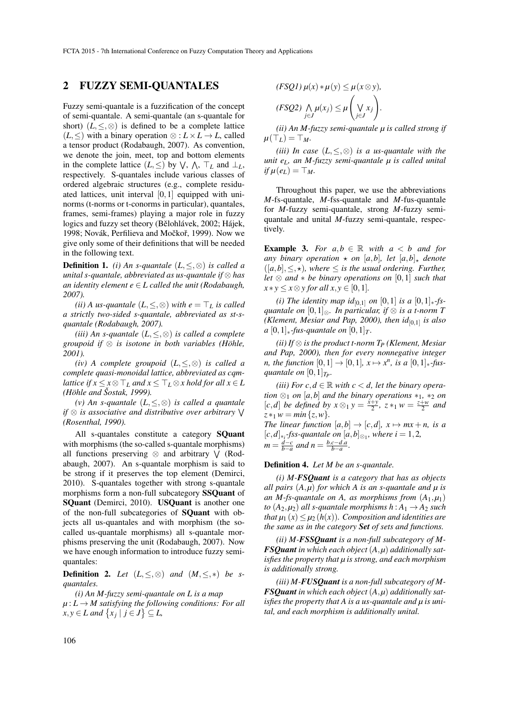### 2 FUZZY SEMI-QUANTALES

Fuzzy semi-quantale is a fuzzification of the concept of semi-quantale. A semi-quantale (an s-quantale for short)  $(L, \leq, \otimes)$  is defined to be a complete lattice  $(L, ≤)$  with a binary operation  $\otimes : L \times L \rightarrow L$ , called a tensor product (Rodabaugh, 2007). As convention, we denote the join, meet, top and bottom elements in the complete lattice  $(L, \leq)$  by  $\forall$ ,  $\wedge$ ,  $\top_L$  and  $\bot_L$ , respectively. S-quantales include various classes of ordered algebraic structures (e.g., complete residuated lattices, unit interval  $[0,1]$  equipped with uninorms (t-norms or t-conorms in particular), quantales, frames, semi-frames) playing a major role in fuzzy logics and fuzzy set theory (Bělohlávek, 2002; Hájek, 1998; Novák, Perfilieva and Močkoř, 1999). Now we give only some of their definitions that will be needed in the following text.

**Definition 1.** *(i)* An s-quantale  $(L, \leq, \otimes)$  is called a *unital s-quantale, abbreviated as us-quantale if* ⊗ *has an identity element*  $e \in L$  *called the unit (Rodabaugh, 2007).*

*(ii)* A us-quantale  $(L, \leq, \otimes)$  *with e* =  $\top_L$  *is called a strictly two-sided s-quantale, abbreviated as st-squantale (Rodabaugh, 2007).*

*(iii) An s-quantale* (*L*,≤,⊗) *is called a complete groupoid if* ⊗ *is isotone in both variables (Hohle, ¨ 2001).*

*(iv) A complete groupoid* (*L*,≤,⊗) *is called a complete quasi-monoidal lattice, abbreviated as cqmlattice if*  $x \leq x \otimes \top_L$  *and*  $x \leq \top_L \otimes x$  *hold for all*  $x \in L$ *(Hohle and ¨ Sostak, 1999). ˇ*

*(v) An s-quantale* (*L*,≤,⊗) *is called a quantale if* <sup>⊗</sup> *is associative and distributive over arbitrary* <sup>W</sup> *(Rosenthal, 1990).*

All s-quantales constitute a category SQuant with morphisms (the so-called s-quantale morphisms) all functions preserving  $\otimes$  and arbitrary  $\vee$  (Rodabaugh, 2007). An s-quantale morphism is said to be strong if it preserves the top element (Demirci, 2010). S-quantales together with strong s-quantale morphisms form a non-full subcategory SSQuant of SQuant (Demirci, 2010). USQuant is another one of the non-full subcategories of SQuant with objects all us-quantales and with morphism (the socalled us-quantale morphisms) all s-quantale morphisms preserving the unit (Rodabaugh, 2007). Now we have enough information to introduce fuzzy semiquantales:

**Definition 2.** *Let*  $(L, \leq, \otimes)$  *and*  $(M, \leq, *)$  *be squantales.*

*(i) An M-fuzzy semi-quantale on L is a map*

 $\mu: L \to M$  satisfying the following conditions: For all  $f(x, y) \in L$  and  $\{x_j | j \in J\} \subseteq L$ ,

$$
(FSQ1) \mu(x) * \mu(y) \le \mu(x \otimes y),
$$
  

$$
(FSQ2) \bigwedge_{j \in J} \mu(x_j) \le \mu\left(\bigvee_{j \in J} x_j\right).
$$

*(ii) An M-fuzzy semi-quantale µ is called strong if*  $\mu(\top_L) = \top_M$ .

*(iii) In case* (*L*,≤,⊗) *is a us-quantale with the unit eL, an M-fuzzy semi-quantale µ is called unital*  $if \mu(e_L) = \top_M$ .

Throughout this paper, we use the abbreviations *M*-fs-quantale, *M*-fss-quantale and *M*-fus-quantale for *M*-fuzzy semi-quantale, strong *M*-fuzzy semiquantale and unital *M*-fuzzy semi-quantale, respectively.

**Example 3.** *For*  $a, b \in \mathbb{R}$  *with*  $a < b$  *and for any binary operation*  $\star$  *on* [*a,b*]*, let* [*a,b*] $\star$  *denote*  $([a,b], \leq, \star)$ , where  $\leq$  *is the usual ordering. Further, let* ⊗ *and* ∗ *be binary operations on* [0,1] *such that*  $x * y \leq x \otimes y$  *for all*  $x, y \in [0, 1]$ *.* 

*(i) The identity map id*<sub>[0,1]</sub> *on* [0,1] *is a* [0,1]<sub>\*</sub>*fsquantale on* [0,1]⊗*. In particular, if* ⊗ *is a t-norm T (Klement, Mesiar and Pap, 2000), then id*[0,1] *is also a*  $[0,1]$ <sub>∗</sub>*-fus-quantale on*  $[0,1]$ <sub>*T*</sub>.

*(ii) If* ⊗ *is the product t-norm T<sup>P</sup> (Klement, Mesiar and Pap, 2000), then for every nonnegative integer n, the function*  $[0,1] \rightarrow [0,1]$ *,*  $x \mapsto x^n$ *, is a*  $[0,1]_*$ *-fusquantale on*  $[0,1]_{T_P}$ .

*(iii)* For  $c, d \in \mathbb{R}$  with  $c < d$ , let the binary opera*tion*  $\otimes_1$  *on* [*a*,*b*] *and the binary operations*  $*_1$ ,  $*_2$  *on*  $[c,d]$  *be defined by*  $x \otimes_1 y = \frac{x+y}{2}$ ,  $z *_1 w = \frac{z+w}{2}$  *and*  $z *_{1} w = min\{z, w\}.$ *The linear function*  $[a,b] \rightarrow [c,d]$ *,*  $x \mapsto mx+n$ *, is a* [*c*,*d*]∗*<sup>i</sup> -fss-quantale on* [*a*,*b*]⊗<sup>1</sup> *, where i* = 1,2*,*  $m = \frac{d-c}{b-a}$  and  $n = \frac{b.c-d.a}{b-a}$ .

#### Definition 4. *Let M be an s-quantale.*

*(i) M-FSQuant is a category that has as objects all pairs* (*A*,*µ*) *for which A is an s-quantale and µ is an M-fs-quantale on A, as morphisms from*  $(A_1,\mu_1)$ *to*  $(A_2, \mu_2)$  *all s-quantale morphisms*  $h : A_1 \rightarrow A_2$  *such that*  $\mu_1(x) \leq \mu_2(h(x))$ *. Composition and identities are the same as in the category Set of sets and functions.*

*(ii) M-FSSQuant is a non-full subcategory of M-FSQuant in which each object* (*A*,*µ*) *additionally satisfies the property that µ is strong, and each morphism is additionally strong.*

*(iii) M-FUSQuant is a non-full subcategory of M-FSQuant in which each object* (*A*,*µ*) *additionally satisfies the property that A is a us-quantale and µ is unital, and each morphism is additionally unital.*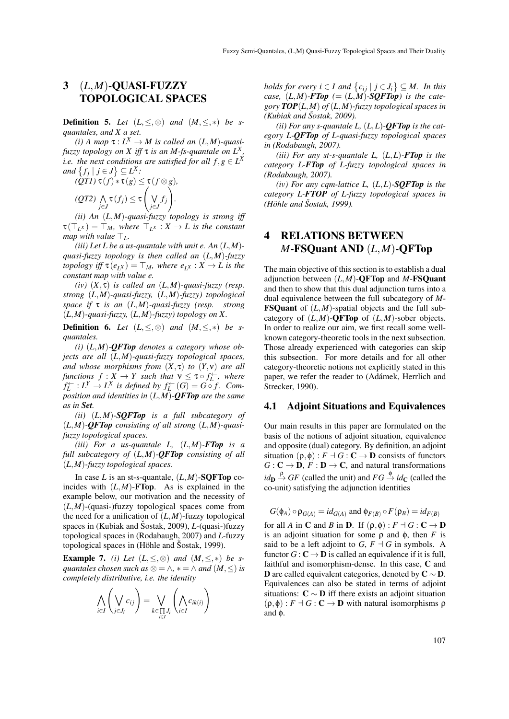### 3 (*L*,*M*)-QUASI-FUZZY TOPOLOGICAL SPACES

**Definition 5.** *Let*  $(L, \leq, \otimes)$  *and*  $(M, \leq, *)$  *be squantales, and X a set.*

*(i) A* map  $\tau: L^X \to M$  is called an  $(L,M)$ -quasi*fuzzy topology on X iff* τ *is an M-fs-quantale on L<sup>X</sup> , i.e. the next conditions are satisfied for all*  $f, g \in L^X$ *and*  $\{f_j \mid j \in J\} \subseteq L^X$ :

$$
(\mathcal{Q}T\mathcal{I}) \tau(f) * \tau(g) \leq \tau(f \otimes g),
$$
  

$$
(\mathcal{Q}T\mathcal{Z}) \bigwedge_{j \in J} \tau(f_j) \leq \tau \left(\bigvee_{j \in J} f_j\right).
$$

*(ii) An* (*L*,*M*)*-quasi-fuzzy topology is strong iff*  $\tau(\top_L x) = \top_M$ , where  $\top_L x : X \to L$  is the constant *map with value*  $\top_L$ *.* 

*(iii) Let L be a us-quantale with unit e. An* (*L*,*M*) *quasi-fuzzy topology is then called an* (*L*,*M*)*-fuzzy topology iff*  $\tau(e_L x) = \top_M$ *, where*  $e_L x : X \to L$  *is the constant map with value e.*

*(iv)* (*X*, τ) *is called an* (*L*,*M*)*-quasi-fuzzy (resp. strong* (*L*,*M*)*-quasi-fuzzy,* (*L*,*M*)*-fuzzy) topological space if* τ *is an* (*L*,*M*)*-quasi-fuzzy (resp. strong* (*L*,*M*)*-quasi-fuzzy,* (*L*,*M*)*-fuzzy) topology on X.*

**Definition 6.** *Let*  $(L, \leq, \otimes)$  *and*  $(M, \leq, *)$  *be squantales.*

*(i)* (*L*,*M*)*-QFTop denotes a category whose objects are all* (*L*,*M*)*-quasi-fuzzy topological spaces, and whose morphisms from* (*X*, τ) *to* (*Y*,ν) *are all functions*  $f: X \to Y$  such that  $v \leq \tau \circ f_L^{\leftarrow}$ , where  $f_L^{\leftarrow}: L^Y \to L^X$  is defined by  $f_L^{\leftarrow}(G) = G \circ f$ . Com*position and identities in* (*L*,*M*)*-QFTop are the same as in Set.*

*(ii)* (*L*,*M*)*-SQFTop is a full subcategory of* (*L*,*M*)*-QFTop consisting of all strong* (*L*,*M*)*-quasifuzzy topological spaces.*

*(iii) For a us-quantale L,* (*L*,*M*)*-FTop is a full subcategory of* (*L*,*M*)*-QFTop consisting of all* (*L*,*M*)*-fuzzy topological spaces.*

In case *L* is an st-s-quantale,  $(L, M)$ -SOFTop coincides with  $(L, M)$ -**FTop**. As is explained in the example below, our motivation and the necessity of  $(L,M)$ -(quasi-)fuzzy topological spaces come from the need for a unification of  $(L, M)$ -fuzzy topological spaces in (Kubiak and Šostak, 2009), *L*-(quasi-)fuzzy topological spaces in (Rodabaugh, 2007) and *L*-fuzzy topological spaces in  $(Höhle and Šostak, 1999)$ .

**Example 7.** *(i)* Let  $(L, \leq, \otimes)$  and  $(M, \leq, *)$  be s*guantales chosen such as*  $\otimes = \wedge$ ,  $* = \wedge$  *and*  $(M, \leq)$  *is completely distributive, i.e. the identity*

$$
\bigwedge_{i \in I} \left( \bigvee_{j \in J_i} c_{ij} \right) = \bigvee_{k \in \prod_{i \in I} J_i} \left( \bigwedge_{i \in I} c_{ik(i)} \right)
$$

*holds for every i*  $\in$  *I* and  $\{c_{ij} | j \in J_i\} \subseteq M$ . In this *case,*  $(L,M)$ -*FTop*  $(=(L,M)$ -SQFTop<sup> $)$ </sup> is the cate*gory TOP*(*L*,*M*) *of* (*L*,*M*)*-fuzzy topological spaces in (Kubiak and Sostak, 2009). ˇ*

(*ii*) For any s-quantale L,  $(L, L)$ - $QFT$ op is the cat*egory L-QFTop of L-quasi-fuzzy topological spaces in (Rodabaugh, 2007).*

*(iii) For any st-s-quantale L,* (*L*,*L*)*-FTop is the category L-FTop of L-fuzzy topological spaces in (Rodabaugh, 2007).*

*(iv) For any cqm-lattice L,* (*L*,*L*)*-SQFTop is the category L-FTOP of L-fuzzy topological spaces in (Hohle and ¨ Sostak, 1999). ˇ*

## 4 RELATIONS BETWEEN *M*-FSQuant AND (*L*,*M*)-QFTop

The main objective of this section is to establish a dual adjunction between (*L*,*M*)-QFTop and *M*-FSQuant and then to show that this dual adjunction turns into a dual equivalence between the full subcategory of *M*-FSQuant of (*L*,*M*)-spatial objects and the full subcategory of  $(L,M)$ -**QFTop** of  $(L,M)$ -sober objects. In order to realize our aim, we first recall some wellknown category-theoretic tools in the next subsection. Those already experienced with categories can skip this subsection. For more details and for all other category-theoretic notions not explicitly stated in this paper, we refer the reader to (Adámek, Herrlich and Strecker, 1990).

#### 4.1 Adjoint Situations and Equivalences

Our main results in this paper are formulated on the basis of the notions of adjoint situation, equivalence and opposite (dual) category. By definition, an adjoint situation  $(\rho, \phi) : F \dashv G : \mathbf{C} \to \mathbf{D}$  consists of functors  $G: \mathbf{C} \to \mathbf{D}, F: \mathbf{D} \to \mathbf{C}$ , and natural transformations  $id_{\mathbf{D}} \stackrel{\rho}{\rightarrow} GF$  (called the unit) and  $FG \stackrel{\phi}{\rightarrow} id_{\mathbf{C}}$  (called the co-unit) satisfying the adjunction identities

$$
G(\phi_A) \circ \rho_{G(A)} = id_{G(A)} \text{ and } \phi_{F(B)} \circ F(\rho_B) = id_{F(B)}
$$

for all *A* in **C** and *B* in **D**. If  $(\rho, \phi) : F \dashv G : C \to D$ is an adjoint situation for some  $\rho$  and  $\phi$ , then *F* is said to be a left adjoint to  $G$ ,  $F \dashv G$  in symbols. A functor  $G: \mathbb{C} \to \mathbb{D}$  is called an equivalence if it is full, faithful and isomorphism-dense. In this case, C and **D** are called equivalent categories, denoted by  $C \sim D$ . Equivalences can also be stated in terms of adjoint situations:  $C \sim D$  iff there exists an adjoint situation  $(\rho, \phi) : F \dashv G : \mathbb{C} \to \mathbb{D}$  with natural isomorphisms  $\rho$ and φ.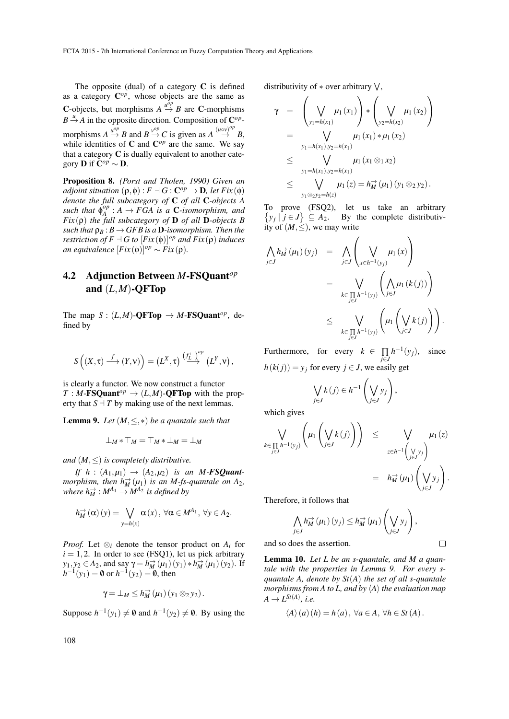The opposite (dual) of a category  $C$  is defined as a category  $\mathbf{C}^{op}$ , whose objects are the same as C-objects, but morphisms  $A \stackrel{u^{\rho} \rho}{\rightarrow} B$  are C-morphisms  $B \stackrel{u}{\rightarrow} A$  in the opposite direction. Composition of  $\mathbb{C}^{op}$ morphisms  $A \xrightarrow{u^{op}} B$  and  $B \xrightarrow{v^{op}} C$  is given as  $A \xrightarrow{(u \circ v)^{op}} B$ , while identities of  $C$  and  $C^{op}$  are the same. We say that a category  $C$  is dually equivalent to another category **D** if  $\mathbf{C}^{op} \sim \mathbf{D}$ .

Proposition 8. *(Porst and Tholen, 1990) Given an adjoint situation*  $(\rho, \phi) : F \dashv G : C^{op} \to \mathbf{D}$ , let  $Fix(\phi)$ *denote the full subcategory of* C *of all* C*-objects A*  $\mathbf{S}$ *uch that*  $\mathbf{\varphi}_A^{\circ p}$  $A^{\text{op}}_A: A \to FGA$  is a **C**-isomorphism, and *Fix* (ρ) *the full subcategory of* D *of all* D*-objects B such that*  $\rho_B$ :  $B \to GFB$  *is a* **D**-*isomorphism. Then the restriction of*  $F \dashv G$  *to*  $[Fix(\phi)]^{op}$  *and*  $Fix(\rho)$  *induces an equivalence*  $[Fix(\phi)]^{op} \sim Fix(\rho)$ *.* 

### 4.2 Adjunction Between *M*-FSQuant*op* and (*L*,*M*)-QFTop

The map  $S : (L,M)$ -**QFTop**  $\rightarrow M$ -**FSQuant**<sup>op</sup>, defined by

$$
S\left( (X,\tau) \stackrel{f}{\longrightarrow} (Y,{\sf v}) \right) = \left( L^X,\tau \right) \stackrel{\left( f_L^\leftarrow \right)^{op}}{\longrightarrow} \left( L^Y,{\sf v} \right),
$$

is clearly a functor. We now construct a functor  $T : M$ -**FSQuant**<sup>op</sup>  $\rightarrow$   $(L,M)$ -**QFTop** with the property that  $S \perp T$  by making use of the next lemmas.

**Lemma 9.** Let  $(M, \leq, *)$  be a quantale such that

$$
\perp_M * \top_M = \top_M * \perp_M = \perp_M
$$

*and*  $(M, \leq)$  *is completely distributive.* 

*If h* :  $(A_1,\mu_1) \rightarrow (A_2,\mu_2)$  *is an M-FSQuantmorphism, then*  $h_M^{\rightarrow}(\mu_1)$  *is an M-fs-quantale on A*<sub>2</sub>*, where*  $h_M^{\rightarrow}$  :  $M^{A_1} \rightarrow M^{A_2}$  *is defined by* 

$$
h_M^{\to}(\alpha)(y) = \bigvee_{y=h(x)} \alpha(x), \,\forall \alpha \in M^{A_1}, \,\forall y \in A_2.
$$

*Proof.* Let  $\otimes_i$  denote the tensor product on  $A_i$  for  $i = 1, 2$ . In order to see (FSQ1), let us pick arbitrary *y*<sub>1</sub>, *y*<sub>2</sub> ∈ *A*<sub>2</sub>, and say  $\gamma = h_M^{\to}(\mu_1)(y_1) * h_M^{\to}(\mu_1)(y_2)$ . If  $h^{-1}(y_1) = \emptyset$  or  $h^{-1}(y_2) = \emptyset$ , then

$$
\gamma = \perp_M \leq h_M^{\rightarrow}(\mu_1)(y_1 \otimes_2 y_2).
$$

Suppose  $h^{-1}(y_1) \neq \emptyset$  and  $h^{-1}(y_2) \neq \emptyset$ . By using the

distributivity of  $*$  over arbitrary  $\vee$ ,

$$
\gamma = \left(\bigvee_{y_1=h(x_1)} \mu_1(x_1)\right) * \left(\bigvee_{y_2=h(x_2)} \mu_1(x_2)\right)
$$
  
\n
$$
= \bigvee_{y_1=h(x_1), y_2=h(x_1)} \mu_1(x_1) * \mu_1(x_2)
$$
  
\n
$$
\leq \bigvee_{y_1=h(x_1), y_2=h(x_1)} \mu_1(x_1 \otimes_1 x_2)
$$
  
\n
$$
\leq \bigvee_{y_1 \otimes_2 y_2=h(z)} \mu_1(z) = h_M^{\rightarrow}(\mu_1)(y_1 \otimes_2 y_2).
$$

To prove (FSQ2), let us take an arbitrary  $\{y_j | j \in J\} \subseteq A_2$ . By the complete distributivity of  $(M, \leq)$ , we may write

$$
\begin{array}{rcl}\n\bigwedge_{j\in J} h_M^{\rightarrow}(\mu_1)(y_j) & = & \bigwedge_{j\in J} \left( \bigvee_{x\in h^{-1}(y_j)} \mu_1(x) \right) \\
& = & \bigvee_{k\in \prod_{j\in J} h^{-1}(y_j)} \left( \bigwedge_{j\in J} \mu_1(k(j)) \right) \\
& \leq & \bigvee_{k\in \prod_{j\in J} h^{-1}(y_j)} \left( \mu_1 \left( \bigvee_{j\in J} k(j) \right) \right).\n\end{array}
$$

Furthermore, for every  $k \in \prod_{j \in J}$  $h^{-1}(y_j)$ , since

 $h(k(j)) = y_j$  for every  $j \in J$ , we easily get

$$
\bigvee_{j\in J} k(j) \in h^{-1}\left(\bigvee_{j\in J} y_j\right),
$$

which gives

$$
\bigvee_{k \in \prod_{j \in J} h^{-1}(y_j)} \left( \mu_1 \left( \bigvee_{j \in J} k(j) \right) \right) \leq \bigvee_{z \in h^{-1} \left( \bigvee_{j \in J} y_j \right)} \mu_1(z)
$$
\n
$$
= h_M^{\rightarrow}(\mu_1) \left( \bigvee_{j \in J} y_j \right).
$$

Therefore, it follows that

$$
\bigwedge_{j\in J} h_M^{\to}(\mu_1)(y_j) \leq h_M^{\to}(\mu_1)\left(\bigvee_{j\in J} y_j\right),
$$

 $\Box$ 

and so does the assertion.

Lemma 10. *Let L be an s-quantale, and M a quantale with the properties in Lemma 9. For every squantale A, denote by St*(*A*) *the set of all s-quantale morphisms from A to L, and by*  $\langle A \rangle$  *the evaluation map*  $A \rightarrow L^{St(A)}$ *, i.e.* 

$$
\langle A \rangle (a) (h) = h (a), \forall a \in A, \forall h \in St (A).
$$

108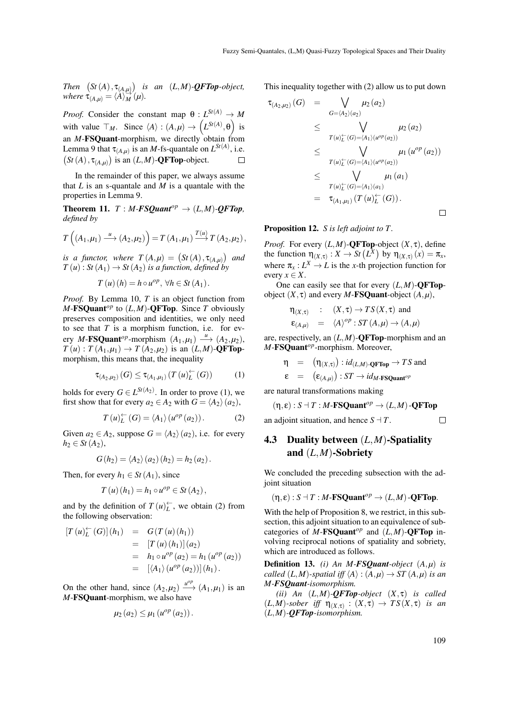*Then*  $(St(A), \tau_{(A,\mu)})$  *is an*  $(L,M)$ *-***QFTop***-object, where*  $\tau_{(A,\mu)} = \langle A \rangle_M^{\rightarrow}(\mu)$ *.* 

*Proof.* Consider the constant map  $\theta$  :  $L^{St(A)} \rightarrow M$ with value  $\top_M$ . Since  $\langle A \rangle : (A, \mu) \to (L^{St(A)}, \theta)$  is an  $M$ -**FSQuant**-morphism, we directly obtain from Lemma 9 that  $\tau_{(A,\mu)}$  is an *M*-fs-quantale on  $L^{St(A)}$ , i.e.  $(St(A), \tau_{(A,\mu)})$  is an  $(L,M)$ -**QFTop**-object.  $\Box$ 

In the remainder of this paper, we always assume that  $L$  is an s-quantale and  $M$  is a quantale with the properties in Lemma 9.

**Theorem 11.** *T* : *M-FSQuant*<sup>*op*</sup>  $\rightarrow$   $(L,M)$ *-QFTop, defined by*

$$
T\left((A_1,\mu_1)\stackrel{u}{\longrightarrow}(A_2,\mu_2)\right)=T\left(A_1,\mu_1\right)\stackrel{T(u)}{\longrightarrow}T\left(A_2,\mu_2\right),
$$

*is a functor, where*  $T(A,\mu) = (St(A), \tau_{(A,\mu)})$  and  $T(u)$ : *St*( $A_1$ )  $\rightarrow$  *St*( $A_2$ ) *is a function, defined by* 

$$
T(u)(h) = h \circ u^{op}, \ \forall h \in St(A_1).
$$

*Proof.* By Lemma 10, *T* is an object function from  $M$ -**FSQuant**<sup>op</sup> to  $(L, M)$ -**QFTop**. Since *T* obviously preserves composition and identities, we only need to see that *T* is a morphism function, i.e. for every *M*-**FSQuant**<sup>op</sup>-morphism  $(A_1,\mu_1) \longrightarrow (A_2,\mu_2)$ ,  $T(u)$ :  $T(A_1,\mu_1) \to T(A_2,\mu_2)$  is an  $(L,M)$ -**QFTop**morphism, this means that, the inequality

$$
\tau_{(A_2,\mu_2)}(G) \leq \tau_{(A_1,\mu_1)}(T(u)_{L}^{\leftarrow}(G))
$$
 (1)

holds for every  $G \in L^{St(A_2)}$ . In order to prove (1), we first show that for every  $a_2 \in A_2$  with  $G = \langle A_2 \rangle (a_2)$ ,

$$
T(u)_L^{\leftarrow}(G) = \langle A_1 \rangle (u^{op}(a_2)). \tag{2}
$$

Given  $a_2 \in A_2$ , suppose  $G = \langle A_2 \rangle (a_2)$ , i.e. for every *h*<sub>2</sub> ∈ *St*(*A*<sub>2</sub>),

$$
G(h_2) = \langle A_2 \rangle (a_2) (h_2) = h_2 (a_2).
$$

Then, for every  $h_1 \in St(A_1)$ , since

$$
T(u)(h_1) = h_1 \circ u^{op} \in St(A_2),
$$

and by the definition of  $T(u)_L^{\leftarrow}$ , we obtain (2) from the following observation:

$$
[T(u)_L^{\leftarrow}(G)](h_1) = G(T(u)(h_1))
$$
  
= [T(u)(h\_1)](a<sub>2</sub>)  
= h<sub>1</sub> \circ u^{op}(a<sub>2</sub>) = h<sub>1</sub> (u^{op}(a<sub>2</sub>))  
= [langleA<sub>1</sub> \rangle (u^{op}(a<sub>2</sub>))] (h<sub>1</sub>).

On the other hand, since  $(A_2, \mu_2) \xrightarrow{\mu^{op}} (A_1, \mu_1)$  is an *M*-FSQuant-morphism, we also have

$$
\mu_2(a_2) \leq \mu_1(u^{op}(a_2)).
$$

This inequality together with (2) allow us to put down

$$
\tau_{(A_2,\mu_2)}(G) = \bigvee_{G=\langle A_2 \rangle(a_2)} \mu_2(a_2)
$$
\n
$$
\leq \bigvee_{T(u)_L^{\leftarrow}(G)=\langle A_1 \rangle (u^{op}(a_2))} \mu_2(a_2)
$$
\n
$$
\leq \bigvee_{T(u)_L^{\leftarrow}(G)=\langle A_1 \rangle (u^{op}(a_2))} \mu_1(u^{op}(a_2))
$$
\n
$$
\leq \bigvee_{T(u)_L^{\leftarrow}(G)=\langle A_1 \rangle (a_1)} \mu_1(a_1)
$$
\n
$$
= \tau_{(A_1,\mu_1)}(T(u)_L^{\leftarrow}(G)).
$$

Proposition 12. *S is left adjoint to T .*

*Proof.* For every  $(L, M)$ -**QFTop**-object  $(X, \tau)$ , define the function  $\eta_{(X,\tau)} : X \to St(L^X)$  by  $\eta_{(X,\tau)}(x) = \pi_x$ , where  $\pi_x: L^X \to L$  is the *x*-th projection function for every  $x \in X$ .

One can easily see that for every  $(L,M)$ -**OFTop**object  $(X, \tau)$  and every *M*-**FSQuant**-object  $(A, \mu)$ ,

$$
\eta_{(X,\tau)} : (X,\tau) \to TS(X,\tau) \text{ and}
$$
  

$$
\epsilon_{(A,\mu)} = \langle A \rangle^{op} : ST(A,\mu) \to (A,\mu)
$$

are, respectively, an (*L*,*M*)-QFTop-morphism and an *M*-FSQuant*op*-morphism. Moreover,

$$
\begin{array}{rcl}\n\eta & = & (\eta_{(X,\tau)}) : id_{(L,M)}\text{-QFTop} \to TS \text{ and} \\
\epsilon & = & (\epsilon_{(A,\mu)}) : ST \to id_{M\text{-FSQuant}^{op}}\n\end{array}
$$

are natural transformations making

$$
(\eta, \varepsilon): S \dashv T : M \in \mathbf{FSQuant}^{op} \to (L, M) \cdot \mathbf{QFTop}
$$
  
adjoint situation, and hence  $S \dashv T$ .

an adjoint situation, and hence  $S \dashv T$ .

$$
f_{\rm{max}}
$$

### 4.3 Duality between (*L*,*M*)-Spatiality and (*L*,*M*)-Sobriety

We concluded the preceding subsection with the adjoint situation

 $(\eta, \varepsilon): S \dashv T : M \in \mathbf{FSQuant}^{op} \to (L, M) \cdot \mathbf{OFTop}.$ 

With the help of Proposition 8, we restrict, in this subsection, this adjoint situation to an equivalence of subcategories of *M*-FSQuant<sup>op</sup> and  $(L,M)$ -QFTop involving reciprocal notions of spatiality and sobriety, which are introduced as follows.

Definition 13. *(i) An M-FSQuant-object* (*A*,*µ*) *is called*  $(L, M)$ *-spatial iff*  $\langle A \rangle$  :  $(A, \mu) \rightarrow ST(A, \mu)$  *is an M-FSQuant-isomorphism.*

*(ii) An* (*L*,*M*)*-QFTop-object* (*X*, τ) *is called*  $(L,M)$ *-sober iff*  $\eta_{(X,\tau)} : (X,\tau) \to TS(X,\tau)$  *is an* (*L*,*M*)*-QFTop-isomorphism.*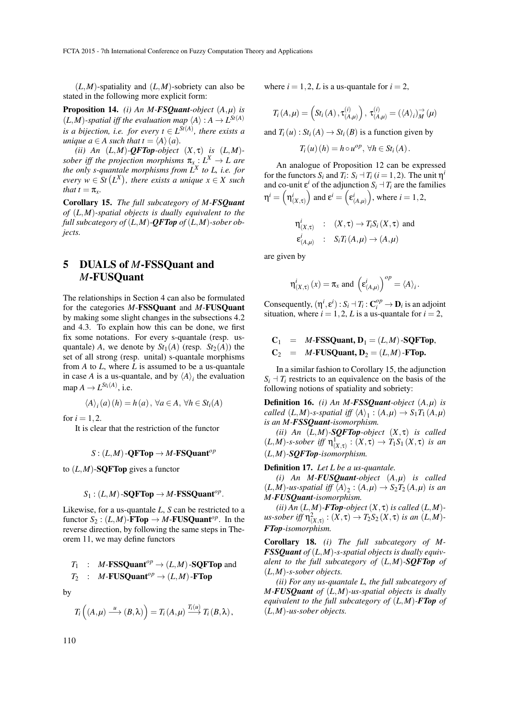$(L,M)$ -spatiality and  $(L,M)$ -sobriety can also be stated in the following more explicit form:

Proposition 14. *(i) An M-FSQuant-object* (*A*,*µ*) *is*  $(L,M)$ -spatial iff the evaluation map  $\langle A \rangle : A \rightarrow L^{St(A)}$ *is a bijection, i.e. for every*  $t \in L^{St(A)}$ *, there exists a unique*  $a \in A$  *such that*  $t = \langle A \rangle(a)$ *.* 

(*ii*) An  $(L,M)$ -**QFTop**-object  $(X, \tau)$  *is*  $(L,M)$ *sober iff the projection morphisms*  $\pi_x : L^X \to L$  are *the only s-quantale morphisms from L<sup>X</sup> to L, i.e. for*  $\forall x \in S$  *t*  $(L^X)$ , there exists a unique  $x \in X$  such *that*  $t = \pi_x$ *.* 

Corollary 15. *The full subcategory of M-FSQuant of* (*L*,*M*)*-spatial objects is dually equivalent to the full subcategory of*  $(L, M)$ -*QFTop of*  $(L, M)$ -*sober objects.*

### 5 DUALS of *M*-FSSQuant and *M*-FUSQuant

The relationships in Section 4 can also be formulated for the categories *M*-FSSQuant and *M*-FUSQuant by making some slight changes in the subsections 4.2 and 4.3. To explain how this can be done, we first fix some notations. For every s-quantale (resp. usquantale) *A*, we denote by  $St_1(A)$  (resp.  $St_2(A)$ ) the set of all strong (resp. unital) s-quantale morphisms from *A* to *L*, where *L* is assumed to be a us-quantale in case *A* is a us-quantale, and by  $\langle A \rangle$ <sub>*i*</sub> the evaluation  $map A \rightarrow L^{St_i(A)}$ , i.e.

$$
\langle A \rangle_i(a)(h) = h(a), \forall a \in A, \forall h \in St_i(A)
$$

for  $i = 1, 2$ .

It is clear that the restriction of the functor

 $S: (L,M)$ -**QFTop**  $\rightarrow$  *M*-**FSQuant**<sup>*op*</sup>

to  $(L, M)$ -**SQFTop** gives a functor

$$
S_1:(L,M)\text{-}\mathbf{SQFTop}\to M\text{-}\mathbf{FSSQuant}^{op}.
$$

Likewise, for a us-quantale *L*, *S* can be restricted to a functor  $S_2$ :  $(L,M)$ -**FTop**  $\rightarrow$  *M*-**FUSQuant**<sup>*op*</sup>. In the reverse direction, by following the same steps in Theorem 11, we may define functors

 $T_1$  : *M*-**FSSQuant**<sup>*op*</sup>  $\rightarrow$   $(L,M)$ -**SQFTop** and  $T_2$  : *M*-**FUSQuant**<sup>op</sup>  $\rightarrow$   $(L,M)$ -**FTop** 

by

$$
T_i\left((A,\mu)\stackrel{u}{\longrightarrow}(B,\lambda)\right)=T_i(A,\mu)\stackrel{T_i(u)}{\longrightarrow}T_i(B,\lambda),
$$

where  $i = 1, 2, L$  is a us-quantale for  $i = 2$ ,

$$
T_i(A,\mu) = \left(St_i(A), \tau_{(A,\mu)}^{(i)}\right), \tau_{(A,\mu)}^{(i)} = (\langle A \rangle_i)_M^{\rightarrow}(\mu)
$$

and  $T_i(u)$ :  $St_i(A) \rightarrow St_i(B)$  is a function given by

 $T_i(u)(h) = h \circ u^{op}, \forall h \in St_i(A).$ 

An analogue of Proposition 12 can be expressed for the functors  $S_i$  and  $T_i$ :  $S_i \dashv T_i$  ( $i = 1, 2$ ). The unit  $\eta^i$ and co-unit  $\varepsilon^i$  of the adjunction  $S_i \rightharpoonup T_i$  are the families  $\eta^i = \left(\eta^i_{(X,\tau)}\right)$  $\int$  and  $\mathbf{\varepsilon}^i = \left(\mathbf{\varepsilon}^i_{(A,\mu)}\right)$ ), where  $i = 1, 2$ ,

$$
\begin{aligned}\n\eta^i_{(X,\tau)} & : & (X,\tau) \to T_i S_i(X,\tau) \text{ and} \\
\epsilon^i_{(A,\mu)} & : & S_i T_i(A,\mu) \to (A,\mu)\n\end{aligned}
$$

are given by

$$
\eta^i_{(X,\tau)}(x) = \pi_X
$$
 and  $\left(\varepsilon^i_{(A,\mu)}\right)^{op} = \langle A \rangle_i$ .

Consequently,  $(\eta^i, \varepsilon^i): S_i \dashv T_i: \mathbf{C}_i^{op} \to \mathbf{D}_i$  is an adjoint situation, where  $i = 1, 2, L$  is a us-quantale for  $i = 2$ ,

$$
C_1 = M\text{-FSSQuant}, D_1 = (L,M)\text{-SQFTop},
$$
  

$$
C_2 = M\text{-FUSQuant}, D_2 = (L,M)\text{-FTop}.
$$

In a similar fashion to Corollary 15, the adjunction  $S_i$   $\vdash$  *T<sub>i</sub>* restricts to an equivalence on the basis of the following notions of spatiality and sobriety:

Definition 16. *(i) An M-FSSQuant-object* (*A*,*µ*) *is called*  $(L, M)$ -*s*-*spatial iff*  $\langle A \rangle_1$  :  $(A, \mu) \rightarrow S_1 T_1 (A, \mu)$ *is an M-FSSQuant-isomorphism.*

*(ii) An* (*L*,*M*)*-SQFTop-object* (*X*, τ) *is called*  $(L,M)$ *-s-sober iff*  $\eta_{(X,\tau)}^1 : (X,\tau) \to T_1S_1(X,\tau)$  *is an* (*L*,*M*)*-SQFTop-isomorphism.*

Definition 17. *Let L be a us-quantale.*

*(i) An M-FUSQuant-object* (*A*,*µ*) *is called*  $(L,M)$ -us-spatial iff  $\langle A \rangle_2$ :  $(A,\mu) \rightarrow S_2 T_2 (A,\mu)$  is an *M-FUSQuant-isomorphism.*

 $(iii)$  An  $(L,M)$ -**FTop**-object  $(X, \tau)$  *is called*  $(L,M)$  $us$ -sober iff  $\eta^2_{(X,\tau)} : (X,\tau) \to T_2S_2(X,\tau)$  is an  $(L,M)$ -*FTop-isomorphism.*

Corollary 18. *(i) The full subcategory of M-FSSQuant of* (*L*,*M*)*-s-spatial objects is dually equivalent to the full subcategory of* (*L*,*M*)*-SQFTop of* (*L*,*M*)*-s-sober objects.*

*(ii) For any us-quantale L, the full subcategory of M-FUSQuant of* (*L*,*M*)*-us-spatial objects is dually equivalent to the full subcategory of* (*L*,*M*)*-FTop of* (*L*,*M*)*-us-sober objects.*

110